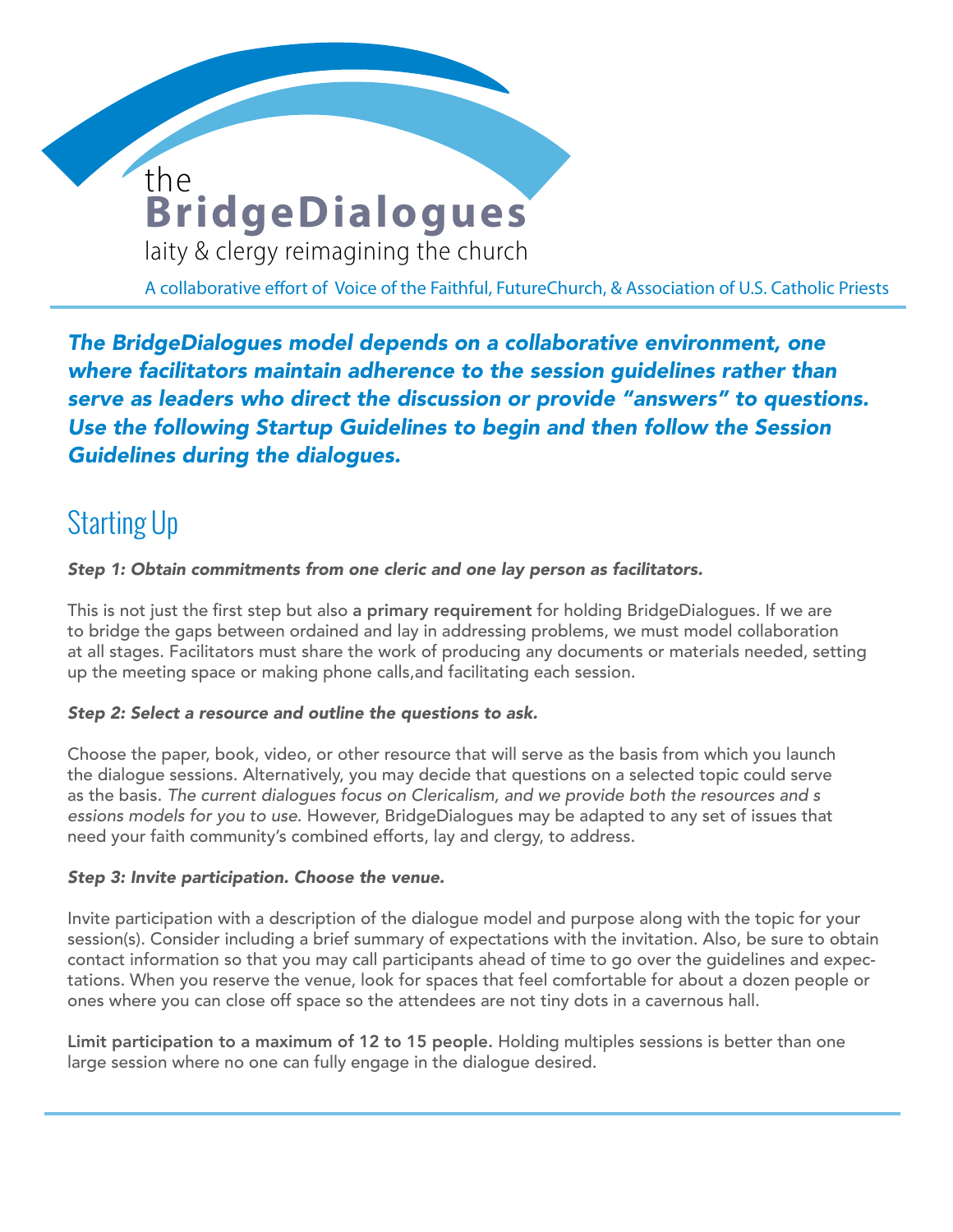# **BridgeDialogues** the

**WOMEN DEACONS** 

laity & clergy reimagining the church

A collaborative effort of Voice of the Faithful, FutureChurch, & Association of U.S. Catholic Priests

*The BridgeDialogues model depends on a collaborative environment, one where facilitators maintain adherence to the session guidelines rather than serve as leaders who direct the discussion or provide "answers" to questions. Use the following Startup Guidelines to begin and then follow the Session Guidelines during the dialogues.*

# Starting Up

*Step 1: Obtain commitments from one cleric and one lay person as facilitators.* 

This is not just the first step but also a primary requirement for holding BridgeDialogues. If we are to bridge the gaps between ordained and lay in addressing problems, we must model collaboration at all stages. Facilitators must share the work of producing any documents or materials needed, setting up the meeting space or making phone calls,and facilitating each session.

### *Step 2: Select a resource and outline the questions to ask.*

Choose the paper, book, video, or other resource that will serve as the basis from which you launch the dialogue sessions. Alternatively, you may decide that questions on a selected topic could serve as the basis. *The current dialogues focus on Clericalism, and we provide both the resources and s essions models for you to use*. However, BridgeDialogues may be adapted to any set of issues that need your faith community's combined efforts, lay and clergy, to address.

### *Step 3: Invite participation. Choose the venue.*

Invite participation with a description of the dialogue model and purpose along with the topic for your session(s). Consider including a brief summary of expectations with the invitation. Also, be sure to obtain contact information so that you may call participants ahead of time to go over the guidelines and expectations. When you reserve the venue, look for spaces that feel comfortable for about a dozen people or ones where you can close off space so the attendees are not tiny dots in a cavernous hall.

Limit participation to a maximum of 12 to 15 people. Holding multiples sessions is better than one large session where no one can fully engage in the dialogue desired.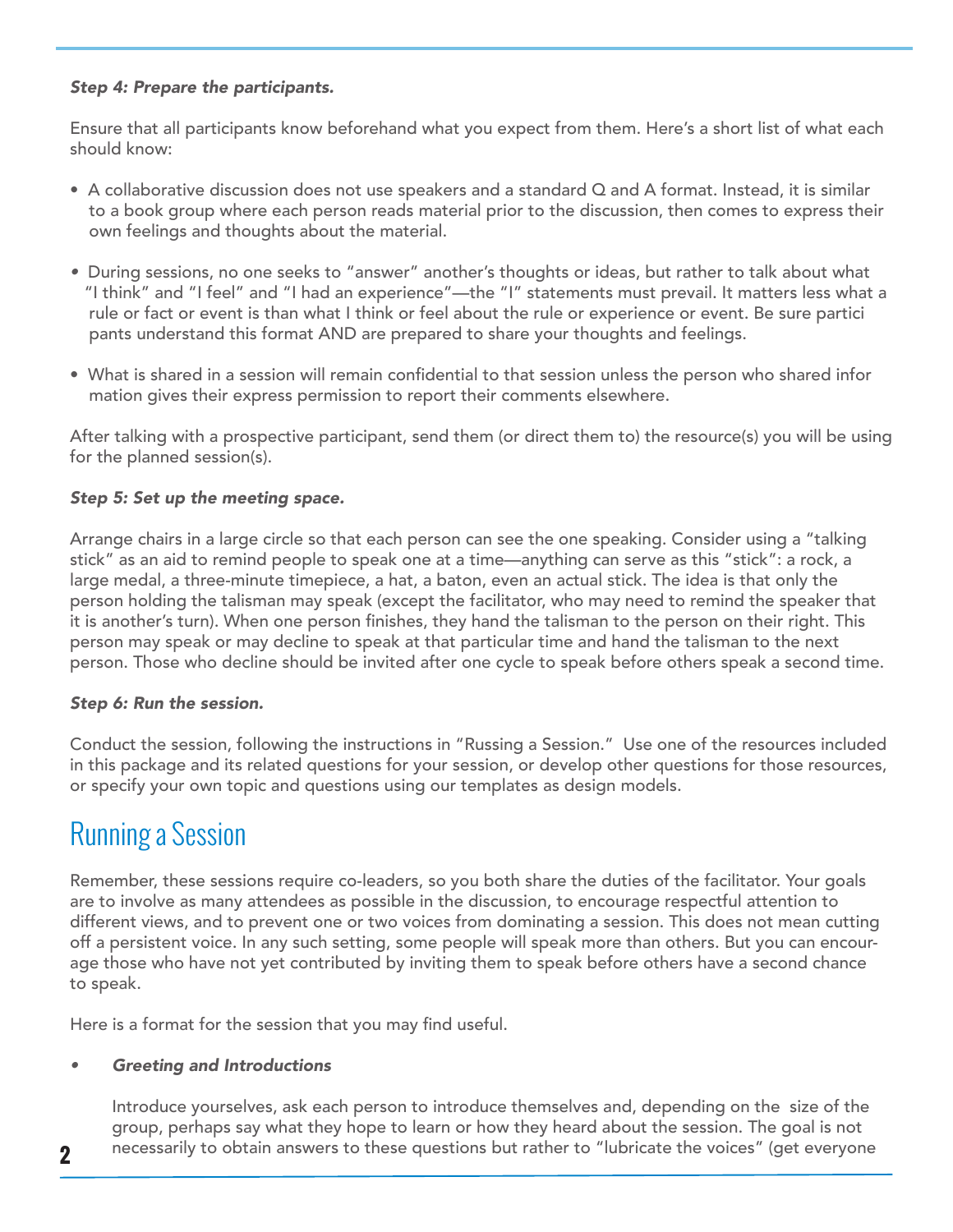### *Step 4: Prepare the participants.*

Ensure that all participants know beforehand what you expect from them. Here's a short list of what each should know:

- A collaborative discussion does not use speakers and a standard Q and A format. Instead, it is similar to a book group where each person reads material prior to the discussion, then comes to express their own feelings and thoughts about the material.
- During sessions, no one seeks to "answer" another's thoughts or ideas, but rather to talk about what "I think" and "I feel" and "I had an experience"—the "I" statements must prevail. It matters less what a rule or fact or event is than what I think or feel about the rule or experience or event. Be sure partici pants understand this format AND are prepared to share your thoughts and feelings.
- What is shared in a session will remain confidential to that session unless the person who shared infor mation gives their express permission to report their comments elsewhere.

After talking with a prospective participant, send them (or direct them to) the resource(s) you will be using for the planned session(s).

### *Step 5: Set up the meeting space.*

Arrange chairs in a large circle so that each person can see the one speaking. Consider using a "talking stick" as an aid to remind people to speak one at a time—anything can serve as this "stick": a rock, a large medal, a three-minute timepiece, a hat, a baton, even an actual stick. The idea is that only the person holding the talisman may speak (except the facilitator, who may need to remind the speaker that it is another's turn). When one person finishes, they hand the talisman to the person on their right. This person may speak or may decline to speak at that particular time and hand the talisman to the next person. Those who decline should be invited after one cycle to speak before others speak a second time.

### *Step 6: Run the session.*

Conduct the session, following the instructions in "Russing a Session." Use one of the resources included in this package and its related questions for your session, or develop other questions for those resources, or specify your own topic and questions using our templates as design models.

### Running a Session

Remember, these sessions require co-leaders, so you both share the duties of the facilitator. Your goals are to involve as many attendees as possible in the discussion, to encourage respectful attention to different views, and to prevent one or two voices from dominating a session. This does not mean cutting off a persistent voice. In any such setting, some people will speak more than others. But you can encourage those who have not yet contributed by inviting them to speak before others have a second chance to speak.

Here is a format for the session that you may find useful.

### *• Greeting and Introductions*

Introduce yourselves, ask each person to introduce themselves and, depending on the size of the group, perhaps say what they hope to learn or how they heard about the session. The goal is not necessarily to obtain answers to these questions but rather to "lubricate the voices" (get everyone **2**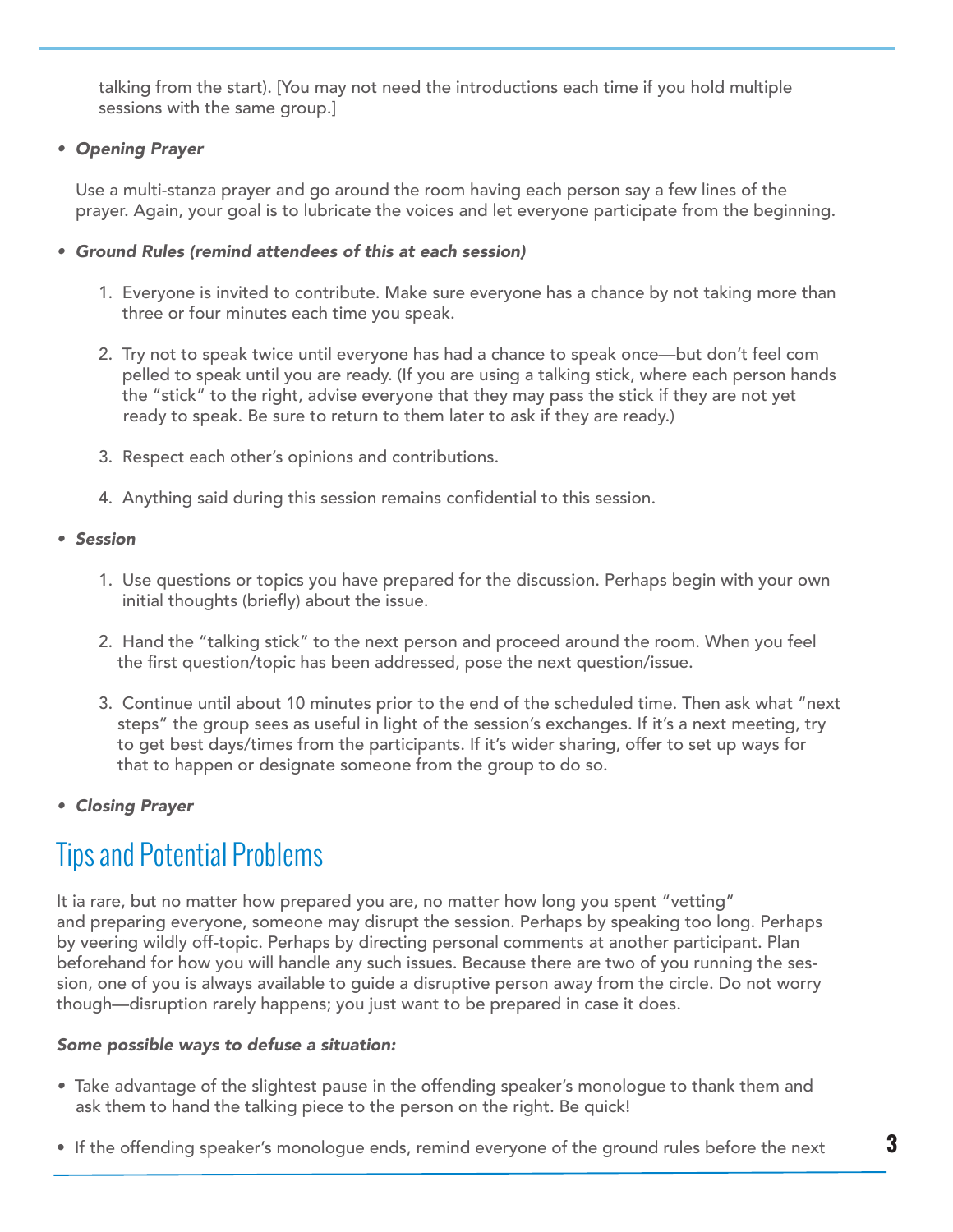**WOMEN DEACONS** sessions with the same group.] talking from the start). [You may not need the introductions each time if you hold multiple

### *• Opening Prayer*

 Use a multi-stanza prayer and go around the room having each person say a few lines of the prayer. Again, your goal is to lubricate the voices and let everyone participate from the beginning.

### *• Ground Rules (remind attendees of this at each session)*

- 1. Everyone is invited to contribute. Make sure everyone has a chance by not taking more than three or four minutes each time you speak.
- 2. Try not to speak twice until everyone has had a chance to speak once—but don't feel com pelled to speak until you are ready. (If you are using a talking stick, where each person hands the "stick" to the right, advise everyone that they may pass the stick if they are not yet ready to speak. Be sure to return to them later to ask if they are ready.)
- 3. Respect each other's opinions and contributions.
- 4. Anything said during this session remains confidential to this session.

### *• Session*

- 1. Use questions or topics you have prepared for the discussion. Perhaps begin with your own initial thoughts (briefly) about the issue.
- 2. Hand the "talking stick" to the next person and proceed around the room. When you feel the first question/topic has been addressed, pose the next question/issue.
- 3. Continue until about 10 minutes prior to the end of the scheduled time. Then ask what "next steps" the group sees as useful in light of the session's exchanges. If it's a next meeting, try to get best days/times from the participants. If it's wider sharing, offer to set up ways for that to happen or designate someone from the group to do so.
- *Closing Prayer*

## Tips and Potential Problems

It ia rare, but no matter how prepared you are, no matter how long you spent "vetting" and preparing everyone, someone may disrupt the session. Perhaps by speaking too long. Perhaps by veering wildly off-topic. Perhaps by directing personal comments at another participant. Plan beforehand for how you will handle any such issues. Because there are two of you running the session, one of you is always available to guide a disruptive person away from the circle. Do not worry though—disruption rarely happens; you just want to be prepared in case it does.

### *Some possible ways to defuse a situation:*

- *•* Take advantage of the slightest pause in the offending speaker's monologue to thank them and ask them to hand the talking piece to the person on the right. Be quick!
- $\bullet$  If the offending speaker's monologue ends, remind everyone of the ground rules before the next  $\bullet$   $\bullet$